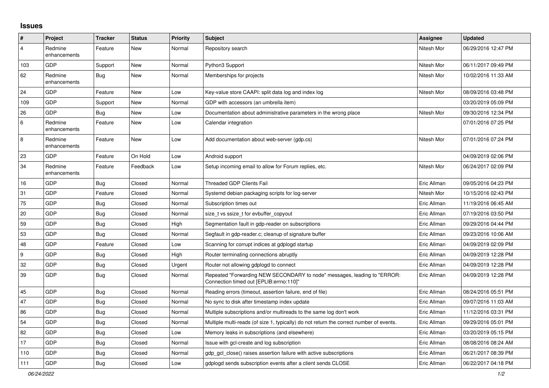## **Issues**

| $\vert$ #      | Project                 | <b>Tracker</b> | <b>Status</b> | <b>Priority</b> | <b>Subject</b>                                                                                                      | <b>Assignee</b> | <b>Updated</b>      |
|----------------|-------------------------|----------------|---------------|-----------------|---------------------------------------------------------------------------------------------------------------------|-----------------|---------------------|
| $\overline{4}$ | Redmine<br>enhancements | Feature        | New           | Normal          | Repository search                                                                                                   | Nitesh Mor      | 06/29/2016 12:47 PM |
| 103            | GDP                     | Support        | New           | Normal          | Python3 Support                                                                                                     | Nitesh Mor      | 06/11/2017 09:49 PM |
| 62             | Redmine<br>enhancements | Bug            | New           | Normal          | Memberships for projects                                                                                            | Nitesh Mor      | 10/02/2016 11:33 AM |
| 24             | GDP                     | Feature        | New           | Low             | Key-value store CAAPI: split data log and index log                                                                 | Nitesh Mor      | 08/09/2016 03:48 PM |
| 109            | GDP                     | Support        | New           | Normal          | GDP with accessors (an umbrella item)                                                                               |                 | 03/20/2019 05:09 PM |
| 26             | GDP                     | Bug            | New           | Low             | Documentation about administrative parameters in the wrong place                                                    | Nitesh Mor      | 09/30/2016 12:34 PM |
| 6              | Redmine<br>enhancements | Feature        | New           | Low             | Calendar integration                                                                                                |                 | 07/01/2016 07:25 PM |
| $\,8\,$        | Redmine<br>enhancements | Feature        | <b>New</b>    | Low             | Add documentation about web-server (gdp.cs)                                                                         | Nitesh Mor      | 07/01/2016 07:24 PM |
| 23             | GDP                     | Feature        | On Hold       | Low             | Android support                                                                                                     |                 | 04/09/2019 02:06 PM |
| 34             | Redmine<br>enhancements | Feature        | Feedback      | Low             | Setup incoming email to allow for Forum replies, etc.                                                               | Nitesh Mor      | 06/24/2017 02:09 PM |
| $16$           | GDP                     | Bug            | Closed        | Normal          | Threaded GDP Clients Fail                                                                                           | Eric Allman     | 09/05/2016 04:23 PM |
| 31             | GDP                     | Feature        | Closed        | Normal          | Systemd debian packaging scripts for log-server                                                                     | Nitesh Mor      | 10/15/2016 02:43 PM |
| 75             | GDP                     | <b>Bug</b>     | Closed        | Normal          | Subscription times out                                                                                              | Eric Allman     | 11/19/2016 06:45 AM |
| 20             | GDP                     | Bug            | Closed        | Normal          | size tvs ssize t for evbuffer copyout                                                                               | Eric Allman     | 07/19/2016 03:50 PM |
| 59             | GDP                     | Bug            | Closed        | High            | Segmentation fault in gdp-reader on subscriptions                                                                   | Eric Allman     | 09/29/2016 04:44 PM |
| 53             | GDP                     | Bug            | Closed        | Normal          | Segfault in gdp-reader.c; cleanup of signature buffer                                                               | Eric Allman     | 09/23/2016 10:06 AM |
| 48             | GDP                     | Feature        | Closed        | Low             | Scanning for corrupt indices at gdplogd startup                                                                     | Eric Allman     | 04/09/2019 02:09 PM |
| 9              | GDP                     | Bug            | Closed        | High            | Router terminating connections abruptly                                                                             | Eric Allman     | 04/09/2019 12:28 PM |
| 32             | GDP                     | <b>Bug</b>     | Closed        | Urgent          | Router not allowing gdplogd to connect                                                                              | Eric Allman     | 04/09/2019 12:28 PM |
| 39             | GDP                     | Bug            | Closed        | Normal          | Repeated "Forwarding NEW SECONDARY to node" messages, leading to "ERROR:<br>"Connection timed out [EPLIB:errno:110] | Eric Allman     | 04/09/2019 12:28 PM |
| 45             | GDP                     | <b>Bug</b>     | Closed        | Normal          | Reading errors (timeout, assertion failure, end of file)                                                            | Eric Allman     | 08/24/2016 05:51 PM |
| 47             | GDP                     | <b>Bug</b>     | Closed        | Normal          | No sync to disk after timestamp index update                                                                        | Eric Allman     | 09/07/2016 11:03 AM |
| 86             | GDP                     | Bug            | Closed        | Normal          | Multiple subscriptions and/or multireads to the same log don't work                                                 | Eric Allman     | 11/12/2016 03:31 PM |
| 54             | GDP                     | Bug            | Closed        | Normal          | Multiple multi-reads (of size 1, typically) do not return the correct number of events.                             | Eric Allman     | 09/29/2016 05:01 PM |
| 82             | GDP                     | Bug            | Closed        | Low             | Memory leaks in subscriptions (and elsewhere)                                                                       | Eric Allman     | 03/20/2019 05:15 PM |
| 17             | GDP                     | Bug            | Closed        | Normal          | Issue with gcl-create and log subscription                                                                          | Eric Allman     | 08/08/2016 08:24 AM |
| 110            | GDP                     | Bug            | Closed        | Normal          | gdp gcl close() raises assertion failure with active subscriptions                                                  | Eric Allman     | 06/21/2017 08:39 PM |
| 111            | GDP                     | <b>Bug</b>     | Closed        | Low             | adpload sends subscription events after a client sends CLOSE                                                        | Eric Allman     | 06/22/2017 04:18 PM |